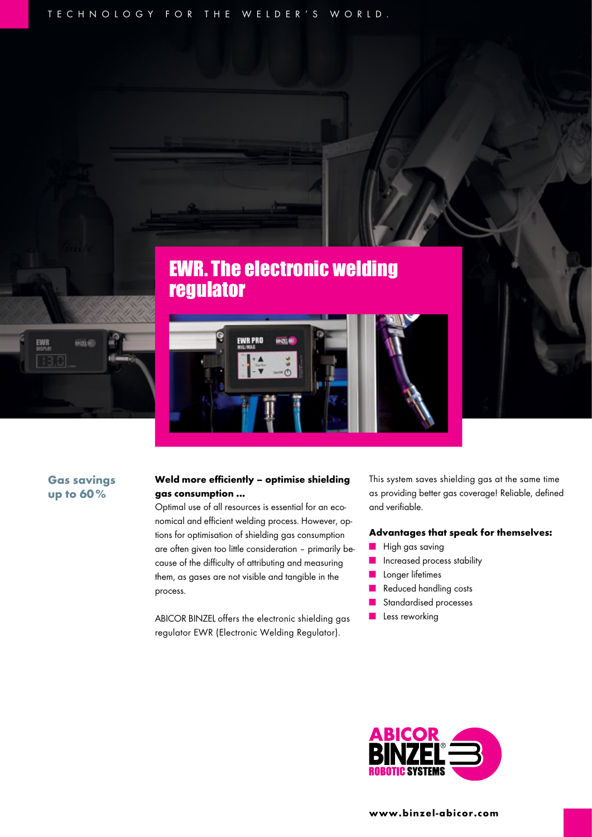TECHNOLOGY FOR THE WELDER'S WORLD.





# Gas savings up to 60%

ime

EWR

## Weld more efficiently – optimise shielding gas consumption ...

Optimal use of all resources is essential for an economical and efficient welding process. However, options for optimisation of shielding gas consumption are often given too little consideration – primarily because of the difficulty of attributing and measuring them, as gases are not visible and tangible in the process.

ABICOR BINZEL offers the electronic shielding gas regulator EWR (Electronic Welding Regulator).

This system saves shielding gas at the same time as providing better gas coverage! Reliable, defined and verifiable.

#### Advantages that speak for themselves:

- High gas saving
- Increased process stability
- Longer lifetimes
- Reduced handling costs
- Standardised processes
- Less reworking

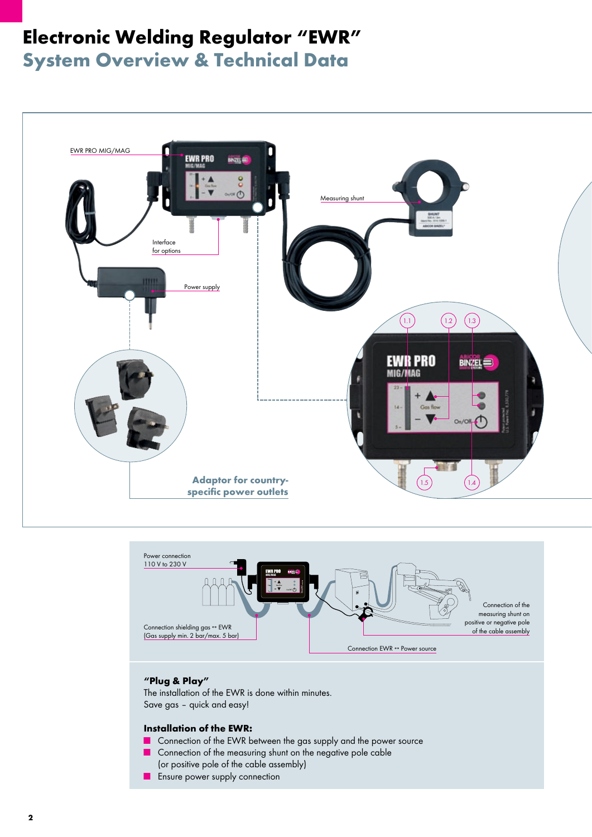# Electronic Welding Regulator "EWR"

System Overview & Technical Data





## "Plug & Play"

The installation of the EWR is done within minutes. Save gas – quick and easy!

### Installation of the EWR:

- Connection of the EWR between the gas supply and the power source
- Connection of the measuring shunt on the negative pole cable (or positive pole of the cable assembly)
- Ensure power supply connection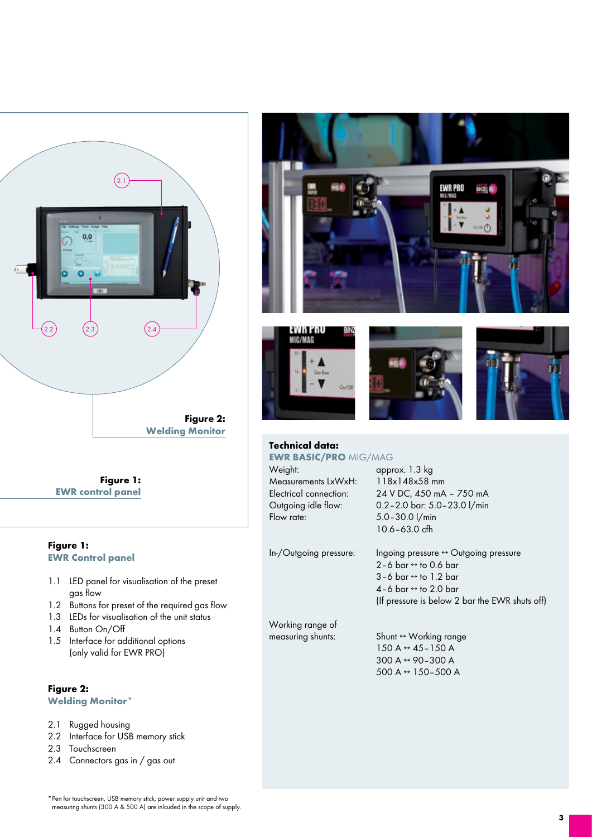

Figure 1: EWR control panel

# Figure 1: EWR Control panel

- 1.1 LED panel for visualisation of the preset gas flow
- 1.2 Buttons for preset of the required gas flow
- 1.3 LEDs for visualisation of the unit status
- 1.4 Button On/Off
- 1.5 Interface for additional options (only valid for EWR PRO)

# Figure 2: Welding Monitor\*

- 2.1 Rugged housing
- 2.2 Interface for USB memory stick
- 2.3 Touchscreen
- 2.4 Connectors gas in / gas out









#### Technical data: EWR BASIC/PRO MIG/MAG

Weight: approx. 1.3 kg Measurements LxWxH: 118x148x58 mm

Electrical connection: 24 V DC, 450 mA – 750 mA Outgoing idle flow: 0.2–2.0 bar: 5.0–23.0 l/min  $5.0 - 30.0$  l/min 10.6–63.0 cfh

In-/Outgoing pressure: Ingoing pressure ↔ Outgoing pressure  $2-6$  bar  $\leftrightarrow$  to 0.6 bar  $3-6$  bar  $\leftrightarrow$  to 1.2 bar 4–6 bar ↔ to 2.0 bar (If pressure is below 2 bar the EWR shuts off)

Working range of

measuring shunts: Shunt ↔ Working range  $150 A \leftrightarrow 45 - 150 A$  300 A ↔ 90–300 A 500 A ↔ 150–500 A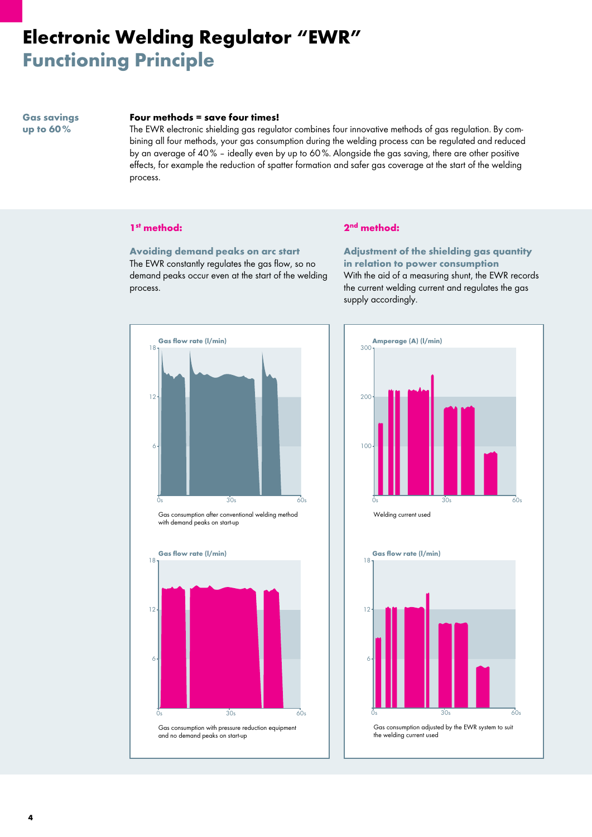# Electronic Welding Regulator "EWR" Functioning Principle

Gas savings up to 60 %

#### Four methods = save four times!

The EWR electronic shielding gas regulator combines four innovative methods of gas regulation. By combining all four methods, your gas consumption during the welding process can be regulated and reduced by an average of 40 % – ideally even by up to 60 %. Alongside the gas saving, there are other positive effects, for example the reduction of spatter formation and safer gas coverage at the start of the welding process.

#### 1st method:

Avoiding demand peaks on arc start The EWR constantly regulates the gas flow, so no demand peaks occur even at the start of the welding process.

#### 2nd method:

Adjustment of the shielding gas quantity in relation to power consumption With the aid of a measuring shunt, the EWR records the current welding current and regulates the gas supply accordingly.









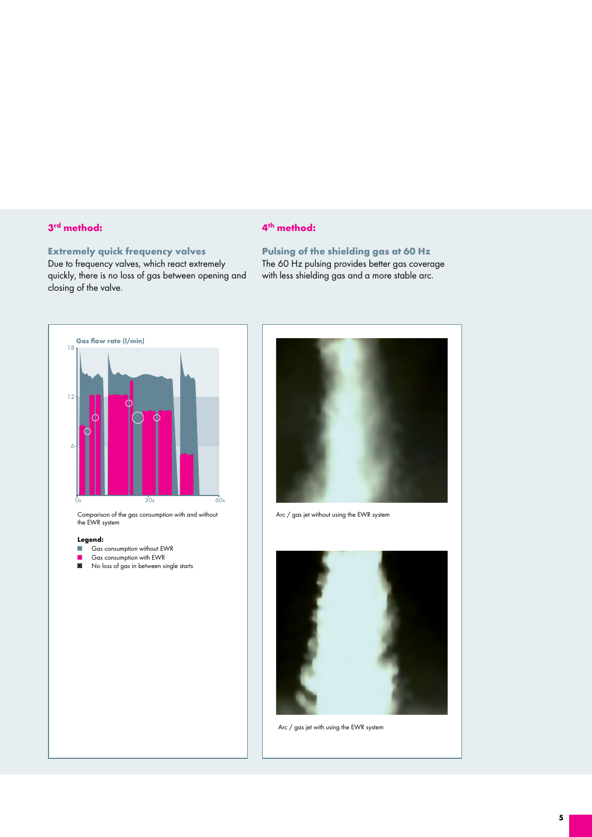## 3rd method:

# Extremely quick frequency valves

Due to frequency valves, which react extremely quickly, there is no loss of gas between opening and closing of the valve.

## 4th method:

Pulsing of the shielding gas at 60 Hz The 60 Hz pulsing provides better gas coverage with less shielding gas and a more stable arc.



Comparison of the gas consumption with and without the EWR system

#### Legend:

- Gas consumption without EWR
- Gas consumption with EWR
- ◙ No loss of gas in between single starts



Arc / gas jet without using the EWR system



Arc / gas jet with using the EWR system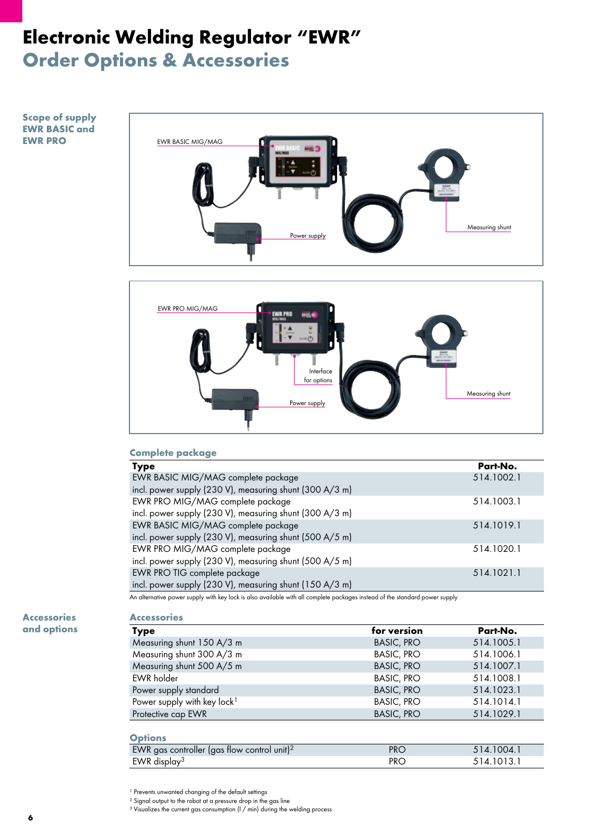# Electronic Welding Regulator "EWR" Order Options & Accessories

## Scope of supply EWR BASIC and EWR PRO





# Complete package

| <b>Type</b>                                             | Part-No.   |
|---------------------------------------------------------|------------|
| EWR BASIC MIG/MAG complete package                      | 514.1002.1 |
| incl. power supply (230 V), measuring shunt (300 A/3 m) |            |
| EWR PRO MIG/MAG complete package                        | 514.1003.1 |
| incl. power supply (230 V), measuring shunt (300 A/3 m) |            |
| EWR BASIC MIG/MAG complete package                      | 514.1019.1 |
| incl. power supply (230 V), measuring shunt (500 A/5 m) |            |
| EWR PRO MIG/MAG complete package                        | 514.1020.1 |
| incl. power supply (230 V), measuring shunt (500 A/5 m) |            |
| EWR PRO TIG complete package                            | 514.1021.1 |
| incl. power supply (230 V), measuring shunt (150 A/3 m) |            |

An alternative power supply with key lock is also available with all complete packages instead of the standard power supply

Accessories and options

# Accessories

| <b>Type</b>                             | for version       | Part-No.   |
|-----------------------------------------|-------------------|------------|
| Measuring shunt 150 A/3 m               | <b>BASIC, PRO</b> | 514.1005.1 |
| Measuring shunt 300 A/3 m               | <b>BASIC, PRO</b> | 514.1006.1 |
| Measuring shunt 500 A/5 m               | <b>BASIC, PRO</b> | 514.1007.1 |
| <b>EWR</b> holder                       | <b>BASIC, PRO</b> | 514.1008.1 |
| Power supply standard                   | <b>BASIC, PRO</b> | 514.1023.1 |
| Power supply with key lock <sup>1</sup> | <b>BASIC, PRO</b> | 514.1014.1 |
| Protective cap EWR                      | <b>BASIC, PRO</b> | 514.1029.1 |
|                                         |                   |            |

# **Options**

| $V1U1U2$                                                |            |            |
|---------------------------------------------------------|------------|------------|
| EWR gas controller (gas flow control unit) <sup>2</sup> | <b>PRC</b> | 514.1004.1 |
| EWR display <sup>3</sup>                                | <b>PRC</b> | 514.1013.1 |
|                                                         |            |            |

<sup>1</sup> Prevents unwanted changing of the default settings

² Signal output to the robot at a pressure drop in the gas line

<sup>3</sup> Visualizes the current gas consumption (I / min) during the welding process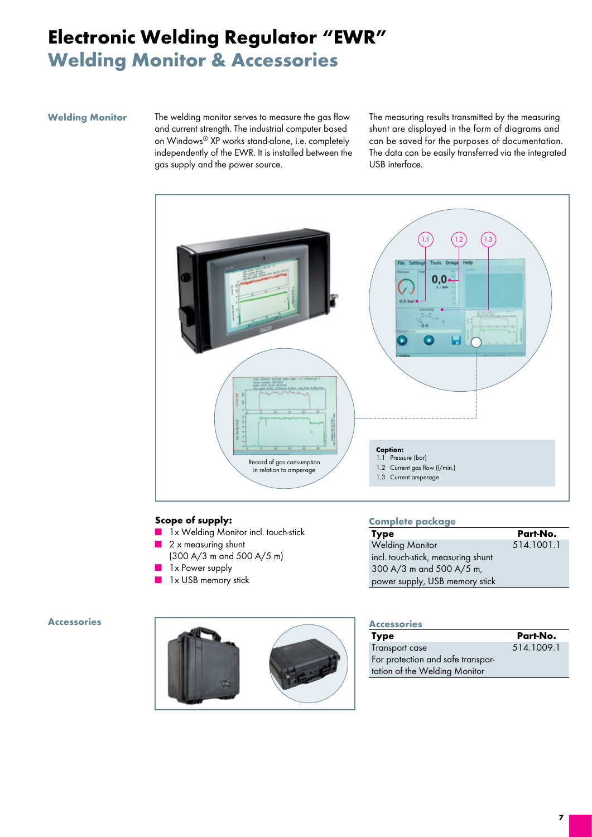# Electronic Welding Regulator "EWR" Welding Monitor & Accessories

#### Welding Monitor

The welding monitor serves to measure the gas flow and current strength. The industrial computer based on Windows® XP works stand-alone, i.e. completely independently of the EWR. It is installed between the gas supply and the power source.

The measuring results transmitted by the measuring shunt are displayed in the form of diagrams and can be saved for the purposes of documentation. The data can be easily transferred via the integrated USB interface.



## Scope of supply:

- 1x Welding Monitor incl. touch-stick
- 2 x measuring shunt (300 A/3 m and 500 A/5 m)
	- 1x Power supply
- 1x USB memory stick

#### Complete package

| Type                               | Part-No.   |
|------------------------------------|------------|
| <b>Welding Monitor</b>             | 514.1001.1 |
| incl. touch-stick, measuring shunt |            |
| 300 A/3 m and 500 A/5 m,           |            |
| power supply, USB memory stick     |            |

#### Accessories



#### **Accessories**

| <b>Type</b>                       | Part-No.   |
|-----------------------------------|------------|
| Transport case                    | 514.1009.1 |
| For protection and safe transpor- |            |
| tation of the Welding Monitor     |            |